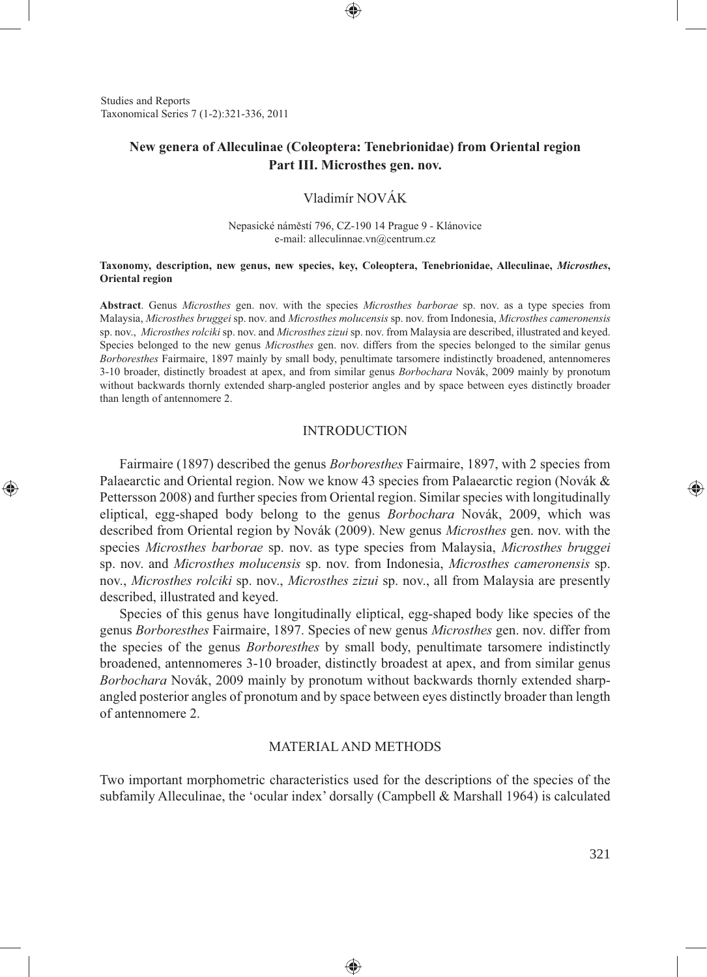Studies and Reports Taxonomical Series 7 (1-2):321-336, 2011

⊕

# **New genera of Alleculinae (Coleoptera: Tenebrionidae) from Oriental region Part III. Microsthes gen. nov.**

## Vladimír NOVÁK

#### Nepasické náměstí 796, CZ-190 14 Prague 9 - Klánovice e-mail: alleculinnae.vn@centrum.cz

#### **Taxonomy, description, new genus, new species, key, Coleoptera, Tenebrionidae, Alleculinae,** *Microsthes***, Oriental region**

**Abstract**. Genus *Microsthes* gen. nov. with the species *Microsthes barborae* sp. nov. as a type species from Malaysia, *Microsthes bruggei* sp. nov. and *Microsthes molucensis* sp. nov. from Indonesia, *Microsthes cameronensis*  sp. nov., *Microsthes rolciki* sp. nov. and *Microsthes zizui* sp. nov. from Malaysia are described, illustrated and keyed. Species belonged to the new genus *Microsthes* gen. nov. differs from the species belonged to the similar genus *Borboresthes* Fairmaire, 1897 mainly by small body, penultimate tarsomere indistinctly broadened, antennomeres 3-10 broader, distinctly broadest at apex, and from similar genus *Borbochara* Novák, 2009 mainly by pronotum without backwards thornly extended sharp-angled posterior angles and by space between eyes distinctly broader than length of antennomere 2.

#### INTRODUCTION

Fairmaire (1897) described the genus *Borboresthes* Fairmaire, 1897, with 2 species from Palaearctic and Oriental region. Now we know 43 species from Palaearctic region (Novák & Pettersson 2008) and further species from Oriental region. Similar species with longitudinally eliptical, egg-shaped body belong to the genus *Borbochara* Novák, 2009, which was described from Oriental region by Novák (2009). New genus *Microsthes* gen. nov. with the species *Microsthes barborae* sp. nov. as type species from Malaysia, *Microsthes bruggei*  sp. nov. and *Microsthes molucensis* sp. nov. from Indonesia, *Microsthes cameronensis* sp. nov., *Microsthes rolciki* sp. nov., *Microsthes zizui* sp. nov., all from Malaysia are presently described, illustrated and keyed.

Species of this genus have longitudinally eliptical, egg-shaped body like species of the genus *Borboresthes* Fairmaire, 1897. Species of new genus *Microsthes* gen. nov. differ from the species of the genus *Borboresthes* by small body, penultimate tarsomere indistinctly broadened, antennomeres 3-10 broader, distinctly broadest at apex, and from similar genus *Borbochara* Novák, 2009 mainly by pronotum without backwards thornly extended sharpangled posterior angles of pronotum and by space between eyes distinctly broader than length of antennomere 2.

## MATERIAL AND METHODS

Two important morphometric characteristics used for the descriptions of the species of the subfamily Alleculinae, the 'ocular index' dorsally (Campbell & Marshall 1964) is calculated

⊕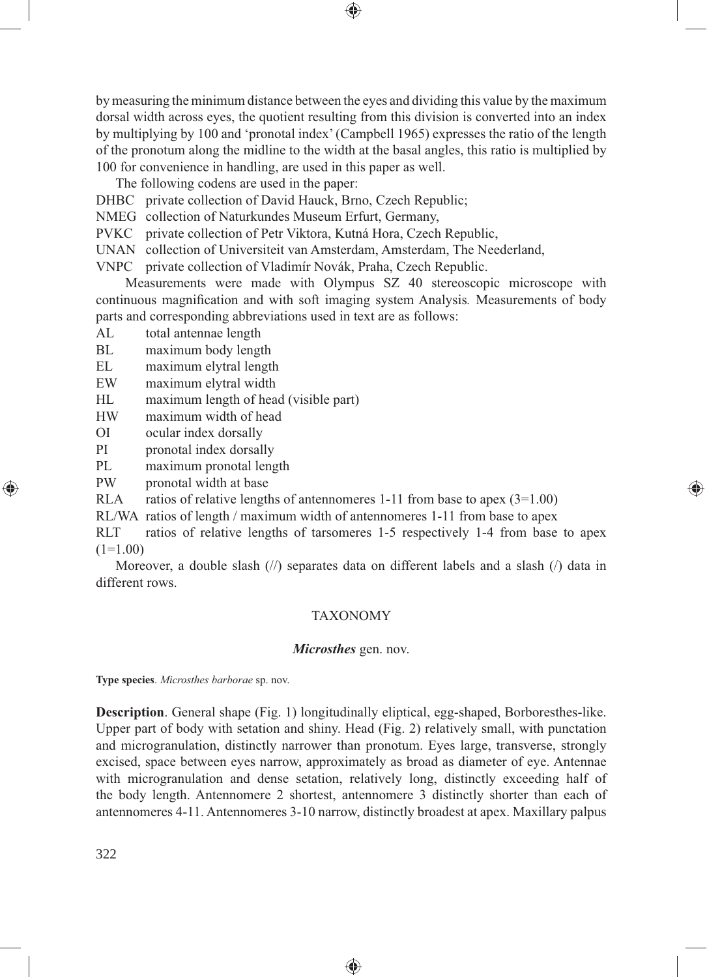by measuring the minimum distance between the eyes and dividing this value by the maximum dorsal width across eyes, the quotient resulting from this division is converted into an index by multiplying by 100 and 'pronotal index' (Campbell 1965) expresses the ratio of the length of the pronotum along the midline to the width at the basal angles, this ratio is multiplied by 100 for convenience in handling, are used in this paper as well.

⊕

The following codens are used in the paper:

DHBC private collection of David Hauck, Brno, Czech Republic;

NMEG collection of Naturkundes Museum Erfurt, Germany,

PVKC private collection of Petr Viktora, Kutná Hora, Czech Republic,

UNAN collection of Universiteit van Amsterdam, Amsterdam, The Neederland,

VNPC private collection of Vladimír Novák, Praha, Czech Republic.

Measurements were made with Olympus SZ 40 stereoscopic microscope with continuous magnifi cation and with soft imaging system Analysis*.* Measurements of body parts and corresponding abbreviations used in text are as follows:

- AL total antennae length<br>BL maximum body lengt
- maximum body length
- EL maximum elytral length
- EW maximum elytral width
- HL maximum length of head (visible part)
- HW maximum width of head
- OI ocular index dorsally
- PI pronotal index dorsally
- PL maximum pronotal length
- PW pronotal width at base

RLA ratios of relative lengths of antennomeres 1-11 from base to apex  $(3=1.00)$ 

RL/WA ratios of length / maximum width of antennomeres 1-11 from base to apex

RLT ratios of relative lengths of tarsomeres 1-5 respectively 1-4 from base to apex  $(1=1.00)$ 

⊕

Moreover, a double slash  $\frac{1}{\sqrt{2}}$  separates data on different labels and a slash  $\frac{1}{\sqrt{2}}$  data in different rows.

#### TAXONOMY

#### *Microsthes* gen. nov.

**Type species**. *Microsthes barborae* sp. nov.

**Description**. General shape (Fig. 1) longitudinally eliptical, egg-shaped, Borboresthes-like. Upper part of body with setation and shiny. Head (Fig. 2) relatively small, with punctation and microgranulation, distinctly narrower than pronotum. Eyes large, transverse, strongly excised, space between eyes narrow, approximately as broad as diameter of eye. Antennae with microgranulation and dense setation, relatively long, distinctly exceeding half of the body length. Antennomere 2 shortest, antennomere 3 distinctly shorter than each of antennomeres 4-11. Antennomeres 3-10 narrow, distinctly broadest at apex. Maxillary palpus

◈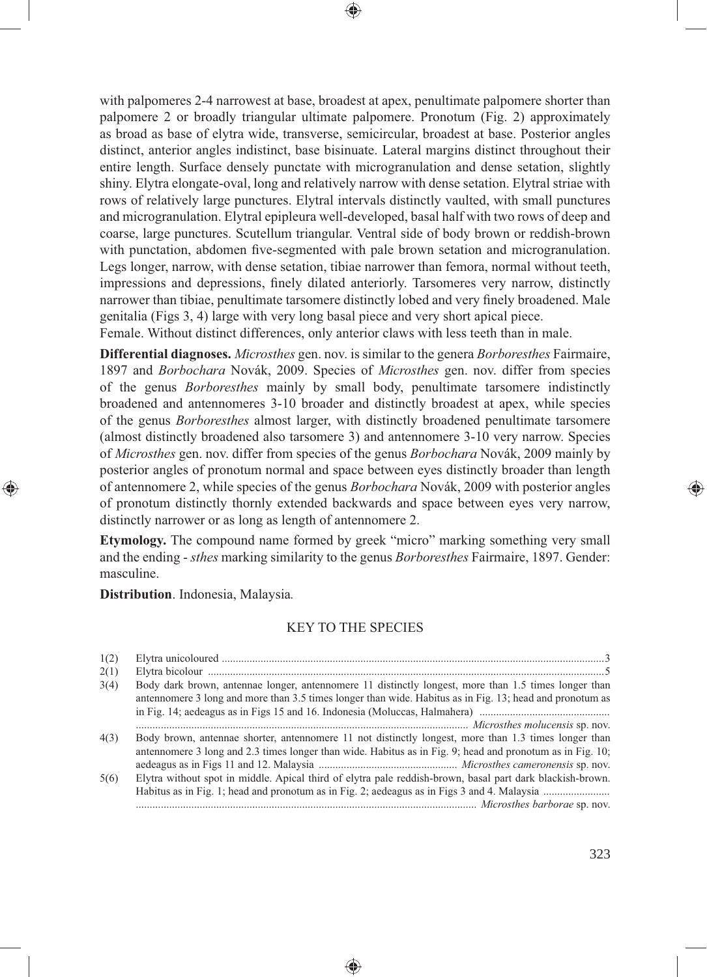with palpomeres 2-4 narrowest at base, broadest at apex, penultimate palpomere shorter than palpomere 2 or broadly triangular ultimate palpomere. Pronotum (Fig. 2) approximately as broad as base of elytra wide, transverse, semicircular, broadest at base. Posterior angles distinct, anterior angles indistinct, base bisinuate. Lateral margins distinct throughout their entire length. Surface densely punctate with microgranulation and dense setation, slightly shiny. Elytra elongate-oval, long and relatively narrow with dense setation. Elytral striae with rows of relatively large punctures. Elytral intervals distinctly vaulted, with small punctures and microgranulation. Elytral epipleura well-developed, basal half with two rows of deep and coarse, large punctures. Scutellum triangular. Ventral side of body brown or reddish-brown with punctation, abdomen five-segmented with pale brown setation and microgranulation. Legs longer, narrow, with dense setation, tibiae narrower than femora, normal without teeth, impressions and depressions, finely dilated anteriorly. Tarsomeres very narrow, distinctly narrower than tibiae, penultimate tarsomere distinctly lobed and very finely broadened. Male genitalia (Figs 3, 4) large with very long basal piece and very short apical piece. Female. Without distinct differences, only anterior claws with less teeth than in male.

⊕

**Differential diagnoses.** *Microsthes* gen. nov. is similar to the genera *Borboresthes* Fairmaire, 1897 and *Borbochara* Novák, 2009. Species of *Microsthes* gen. nov. differ from species of the genus *Borboresthes* mainly by small body, penultimate tarsomere indistinctly broadened and antennomeres 3-10 broader and distinctly broadest at apex, while species of the genus *Borboresthes* almost larger, with distinctly broadened penultimate tarsomere (almost distinctly broadened also tarsomere 3) and antennomere 3-10 very narrow. Species of *Microsthes* gen. nov. differ from species of the genus *Borbochara* Novák, 2009 mainly by posterior angles of pronotum normal and space between eyes distinctly broader than length of antennomere 2, while species of the genus *Borbochara* Novák, 2009 with posterior angles of pronotum distinctly thornly extended backwards and space between eyes very narrow, distinctly narrower or as long as length of antennomere 2.

**Etymology.** The compound name formed by greek "micro" marking something very small and the ending - *sthes* marking similarity to the genus *Borboresthes* Fairmaire, 1897. Gender: masculine.

**Distribution**. Indonesia, Malaysia*.* 

⊕

## KEY TO THE SPECIES

| 1(2) |                                                                                                                                                                                                                  |
|------|------------------------------------------------------------------------------------------------------------------------------------------------------------------------------------------------------------------|
| 2(1) |                                                                                                                                                                                                                  |
| 3(4) | Body dark brown, antennae longer, antennomere 11 distinctly longest, more than 1.5 times longer than<br>antennomere 3 long and more than 3.5 times longer than wide. Habitus as in Fig. 13; head and pronotum as |
|      |                                                                                                                                                                                                                  |
|      |                                                                                                                                                                                                                  |
| 4(3) | Body brown, antennae shorter, antennomere 11 not distinctly longest, more than 1.3 times longer than                                                                                                             |
|      | antennomere 3 long and 2.3 times longer than wide. Habitus as in Fig. 9; head and pronotum as in Fig. 10;                                                                                                        |
|      |                                                                                                                                                                                                                  |
| 5(6) | Elytra without spot in middle. Apical third of elytra pale reddish-brown, basal part dark blackish-brown.                                                                                                        |
|      |                                                                                                                                                                                                                  |
|      |                                                                                                                                                                                                                  |
|      |                                                                                                                                                                                                                  |

♠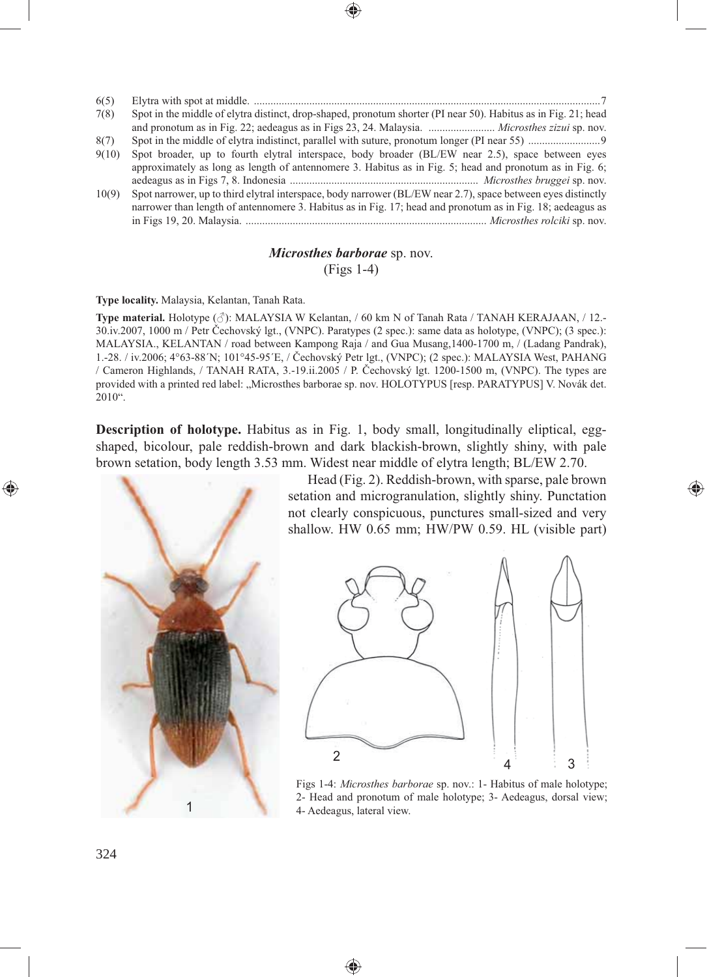| 6(5)  |                                                                                                                                                                                                                |
|-------|----------------------------------------------------------------------------------------------------------------------------------------------------------------------------------------------------------------|
| 7(8)  | Spot in the middle of elytra distinct, drop-shaped, pronotum shorter (PI near 50). Habitus as in Fig. 21; head<br>and pronotum as in Fig. 22; aedeagus as in Figs 23, 24. Malaysia.  Microsthes zizui sp. nov. |
| 8(7)  |                                                                                                                                                                                                                |
| 9(10) | Spot broader, up to fourth elytral interspace, body broader (BL/EW near 2.5), space between eyes                                                                                                               |
|       | approximately as long as length of antennomere 3. Habitus as in Fig. 5; head and pronotum as in Fig. 6;                                                                                                        |
|       |                                                                                                                                                                                                                |
| 10(9) | Spot narrower, up to third elytral interspace, body narrower (BL/EW near 2.7), space between eyes distinctly                                                                                                   |
|       | narrower than length of antennomere 3. Habitus as in Fig. 17; head and pronotum as in Fig. 18; aedeagus as                                                                                                     |
|       |                                                                                                                                                                                                                |
|       |                                                                                                                                                                                                                |

## *Microsthes barborae* sp. nov. (Figs 1-4)

### **Type locality.** Malaysia, Kelantan, Tanah Rata.

**Type material.** Holotype (♂): MALAYSIA W Kelantan, / 60 km N of Tanah Rata / TANAH KERAJAAN, / 12.- 30.iv.2007, 1000 m / Petr Čechovský lgt., (VNPC). Paratypes (2 spec.): same data as holotype, (VNPC); (3 spec.): MALAYSIA., KELANTAN / road between Kampong Raja / and Gua Musang,1400-1700 m, / (Ladang Pandrak), 1.-28. / iv.2006; 4°63-88´N; 101°45-95´E, / Čechovský Petr lgt., (VNPC); (2 spec.): MALAYSIA West, PAHANG / Cameron Highlands, / TANAH RATA, 3.-19.ii.2005 / P. Čechovský lgt. 1200-1500 m, (VNPC). The types are provided with a printed red label: "Microsthes barborae sp. nov. HOLOTYPUS [resp. PARATYPUS] V. Novák det. 2010".

**Description of holotype.** Habitus as in Fig. 1, body small, longitudinally eliptical, eggshaped, bicolour, pale reddish-brown and dark blackish-brown, slightly shiny, with pale brown setation, body length 3.53 mm. Widest near middle of elytra length; BL/EW 2.70.

♠



Head (Fig. 2). Reddish-brown, with sparse, pale brown setation and microgranulation, slightly shiny. Punctation not clearly conspicuous, punctures small-sized and very shallow. HW 0.65 mm; HW/PW 0.59. HL (visible part)

⊕



Figs 1-4: *Microsthes barborae* sp. nov.: 1- Habitus of male holotype; 2- Head and pronotum of male holotype; 3- Aedeagus, dorsal view; 4- Aedeagus, lateral view.

◈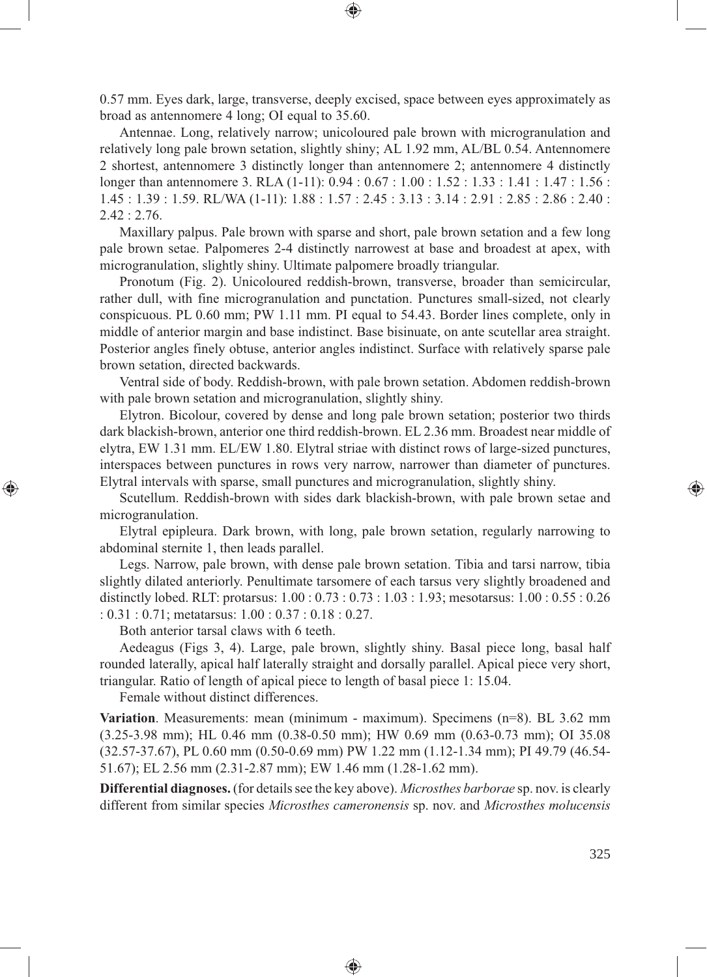0.57 mm. Eyes dark, large, transverse, deeply excised, space between eyes approximately as broad as antennomere 4 long; OI equal to 35.60.

⊕

Antennae. Long, relatively narrow; unicoloured pale brown with microgranulation and relatively long pale brown setation, slightly shiny; AL 1.92 mm, AL/BL 0.54. Antennomere 2 shortest, antennomere 3 distinctly longer than antennomere 2; antennomere 4 distinctly longer than antennomere 3. RLA (1-11): 0.94 : 0.67 : 1.00 : 1.52 : 1.33 : 1.41 : 1.47 : 1.56 : 1.45 : 1.39 : 1.59. RL/WA (1-11): 1.88 : 1.57 : 2.45 : 3.13 : 3.14 : 2.91 : 2.85 : 2.86 : 2.40 :  $2.42 : 2.76.$ 

Maxillary palpus. Pale brown with sparse and short, pale brown setation and a few long pale brown setae. Palpomeres 2-4 distinctly narrowest at base and broadest at apex, with microgranulation, slightly shiny. Ultimate palpomere broadly triangular.

Pronotum (Fig. 2). Unicoloured reddish-brown, transverse, broader than semicircular, rather dull, with fine microgranulation and punctation. Punctures small-sized, not clearly conspicuous. PL 0.60 mm; PW 1.11 mm. PI equal to 54.43. Border lines complete, only in middle of anterior margin and base indistinct. Base bisinuate, on ante scutellar area straight. Posterior angles finely obtuse, anterior angles indistinct. Surface with relatively sparse pale brown setation, directed backwards.

Ventral side of body. Reddish-brown, with pale brown setation. Abdomen reddish-brown with pale brown setation and microgranulation, slightly shiny.

Elytron. Bicolour, covered by dense and long pale brown setation; posterior two thirds dark blackish-brown, anterior one third reddish-brown. EL 2.36 mm. Broadest near middle of elytra, EW 1.31 mm. EL/EW 1.80. Elytral striae with distinct rows of large-sized punctures, interspaces between punctures in rows very narrow, narrower than diameter of punctures. Elytral intervals with sparse, small punctures and microgranulation, slightly shiny.

Scutellum. Reddish-brown with sides dark blackish-brown, with pale brown setae and microgranulation.

Elytral epipleura. Dark brown, with long, pale brown setation, regularly narrowing to abdominal sternite 1, then leads parallel.

Legs. Narrow, pale brown, with dense pale brown setation. Tibia and tarsi narrow, tibia slightly dilated anteriorly. Penultimate tarsomere of each tarsus very slightly broadened and distinctly lobed. RLT: protarsus: 1.00 : 0.73 : 0.73 : 1.03 : 1.93; mesotarsus: 1.00 : 0.55 : 0.26 : 0.31 : 0.71; metatarsus: 1.00 : 0.37 : 0.18 : 0.27.

Both anterior tarsal claws with 6 teeth.

⊕

Aedeagus (Figs 3, 4). Large, pale brown, slightly shiny. Basal piece long, basal half rounded laterally, apical half laterally straight and dorsally parallel. Apical piece very short, triangular. Ratio of length of apical piece to length of basal piece 1: 15.04.

Female without distinct differences.

**Variation**. Measurements: mean (minimum - maximum). Specimens (n=8). BL 3.62 mm (3.25-3.98 mm); HL 0.46 mm (0.38-0.50 mm); HW 0.69 mm (0.63-0.73 mm); OI 35.08 (32.57-37.67), PL 0.60 mm (0.50-0.69 mm) PW 1.22 mm (1.12-1.34 mm); PI 49.79 (46.54- 51.67); EL 2.56 mm (2.31-2.87 mm); EW 1.46 mm (1.28-1.62 mm).

**Differential diagnoses.** (for details see the key above). *Microsthes barborae* sp. nov. is clearly different from similar species *Microsthes cameronensis* sp. nov. and *Microsthes molucensis* 

◈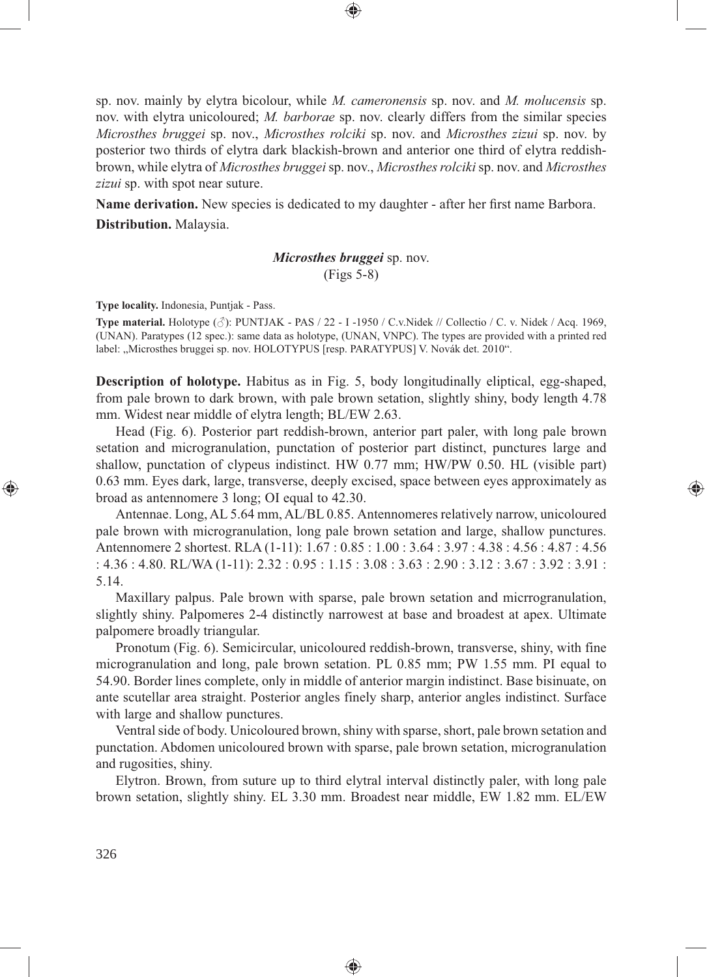sp. nov. mainly by elytra bicolour, while *M. cameronensis* sp. nov. and *M. molucensis* sp. nov. with elytra unicoloured; *M. barborae* sp. nov. clearly differs from the similar species *Microsthes bruggei* sp. nov., *Microsthes rolciki* sp. nov. and *Microsthes zizui* sp. nov. by posterior two thirds of elytra dark blackish-brown and anterior one third of elytra reddishbrown, while elytra of *Microsthes bruggei* sp. nov., *Microsthes rolciki* sp. nov. and *Microsthes zizui* sp. with spot near suture.

**Name derivation.** New species is dedicated to my daughter - after her first name Barbora. **Distribution.** Malaysia.

# *Microsthes bruggei* sp. nov. (Figs 5-8)

**Type locality.** Indonesia, Puntjak - Pass.

**Type material.** Holotype (♂): PUNTJAK - PAS / 22 - I -1950 / C.v.Nidek // Collectio / C. v. Nidek / Acq. 1969, (UNAN). Paratypes (12 spec.): same data as holotype, (UNAN, VNPC). The types are provided with a printed red label: "Microsthes bruggei sp. nov. HOLOTYPUS [resp. PARATYPUS] V. Novák det. 2010".

**Description of holotype.** Habitus as in Fig. 5, body longitudinally eliptical, egg-shaped, from pale brown to dark brown, with pale brown setation, slightly shiny, body length 4.78 mm. Widest near middle of elytra length; BL/EW 2.63.

Head (Fig. 6). Posterior part reddish-brown, anterior part paler, with long pale brown setation and microgranulation, punctation of posterior part distinct, punctures large and shallow, punctation of clypeus indistinct. HW 0.77 mm; HW/PW 0.50. HL (visible part) 0.63 mm. Eyes dark, large, transverse, deeply excised, space between eyes approximately as broad as antennomere 3 long; OI equal to 42.30.

⊕

Antennae. Long, AL 5.64 mm, AL/BL 0.85. Antennomeres relatively narrow, unicoloured pale brown with microgranulation, long pale brown setation and large, shallow punctures. Antennomere 2 shortest. RLA (1-11): 1.67 : 0.85 : 1.00 : 3.64 : 3.97 : 4.38 : 4.56 : 4.87 : 4.56 : 4.36 : 4.80. RL/WA (1-11): 2.32 : 0.95 : 1.15 : 3.08 : 3.63 : 2.90 : 3.12 : 3.67 : 3.92 : 3.91 : 5.14.

Maxillary palpus. Pale brown with sparse, pale brown setation and micrrogranulation, slightly shiny. Palpomeres 2-4 distinctly narrowest at base and broadest at apex. Ultimate palpomere broadly triangular.

Pronotum (Fig. 6). Semicircular, unicoloured reddish-brown, transverse, shiny, with fine microgranulation and long, pale brown setation. PL 0.85 mm; PW 1.55 mm. PI equal to 54.90. Border lines complete, only in middle of anterior margin indistinct. Base bisinuate, on ante scutellar area straight. Posterior angles finely sharp, anterior angles indistinct. Surface with large and shallow punctures.

Ventral side of body. Unicoloured brown, shiny with sparse, short, pale brown setation and punctation. Abdomen unicoloured brown with sparse, pale brown setation, microgranulation and rugosities, shiny.

Elytron. Brown, from suture up to third elytral interval distinctly paler, with long pale brown setation, slightly shiny. EL 3.30 mm. Broadest near middle, EW 1.82 mm. EL/EW

⊕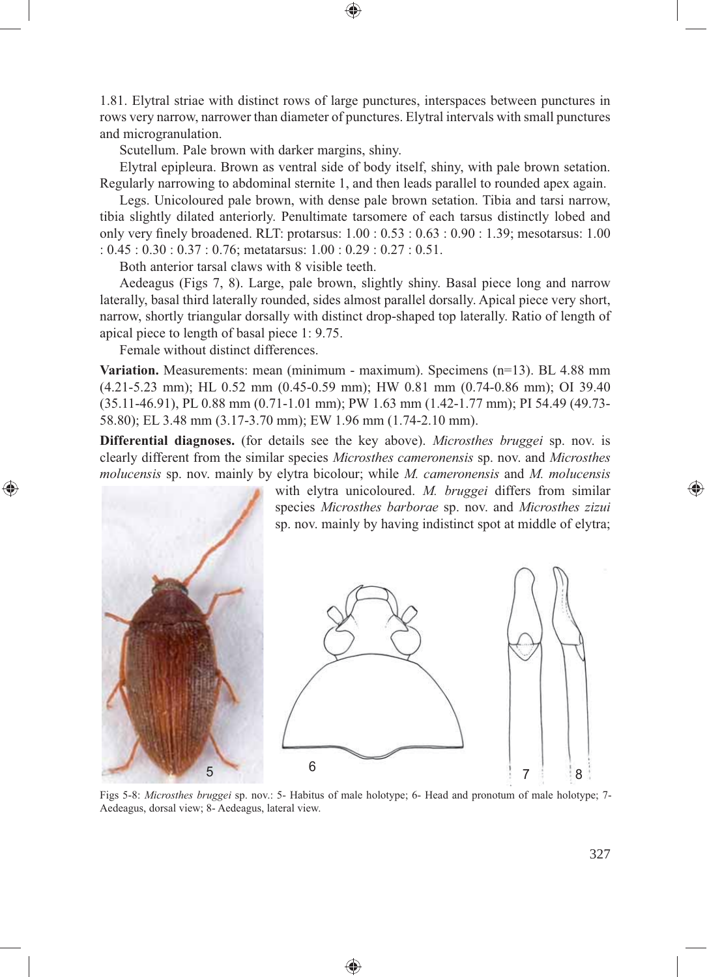1.81. Elytral striae with distinct rows of large punctures, interspaces between punctures in rows very narrow, narrower than diameter of punctures. Elytral intervals with small punctures and microgranulation.

⊕

Scutellum. Pale brown with darker margins, shiny.

Elytral epipleura. Brown as ventral side of body itself, shiny, with pale brown setation. Regularly narrowing to abdominal sternite 1, and then leads parallel to rounded apex again.

Legs. Unicoloured pale brown, with dense pale brown setation. Tibia and tarsi narrow, tibia slightly dilated anteriorly. Penultimate tarsomere of each tarsus distinctly lobed and only very finely broadened. RLT: protarsus:  $1.00 : 0.53 : 0.63 : 0.90 : 1.39$ ; mesotarsus: 1.00 : 0.45 : 0.30 : 0.37 : 0.76; metatarsus: 1.00 : 0.29 : 0.27 : 0.51.

Both anterior tarsal claws with 8 visible teeth.

Aedeagus (Figs 7, 8). Large, pale brown, slightly shiny. Basal piece long and narrow laterally, basal third laterally rounded, sides almost parallel dorsally. Apical piece very short, narrow, shortly triangular dorsally with distinct drop-shaped top laterally. Ratio of length of apical piece to length of basal piece 1: 9.75.

Female without distinct differences.

⊕

**Variation.** Measurements: mean (minimum - maximum). Specimens (n=13). BL 4.88 mm (4.21-5.23 mm); HL 0.52 mm (0.45-0.59 mm); HW 0.81 mm (0.74-0.86 mm); OI 39.40 (35.11-46.91), PL 0.88 mm (0.71-1.01 mm); PW 1.63 mm (1.42-1.77 mm); PI 54.49 (49.73- 58.80); EL 3.48 mm (3.17-3.70 mm); EW 1.96 mm (1.74-2.10 mm).

**Differential diagnoses.** (for details see the key above). *Microsthes bruggei* sp. nov. is clearly different from the similar species *Microsthes cameronensis* sp. nov. and *Microsthes molucensis* sp. nov. mainly by elytra bicolour; while *M. cameronensis* and *M. molucensis* 



Figs 5-8: *Microsthes bruggei* sp. nov.: 5- Habitus of male holotype; 6- Head and pronotum of male holotype; 7- Aedeagus, dorsal view; 8- Aedeagus, lateral view.

♠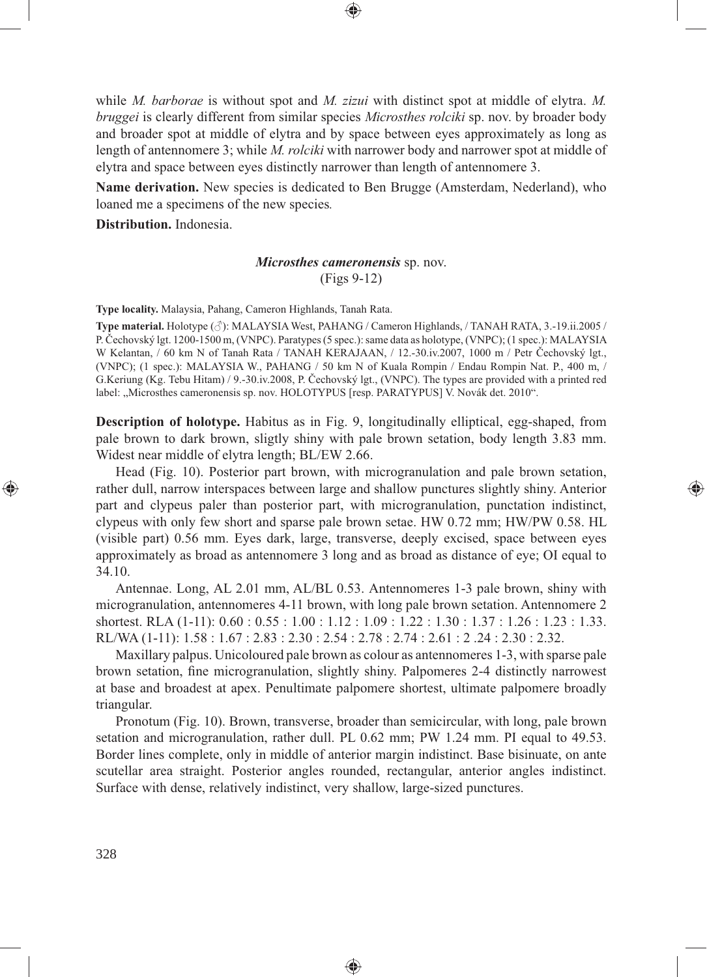while *M. barborae* is without spot and *M. zizui* with distinct spot at middle of elytra. *M. bruggei* is clearly different from similar species *Microsthes rolciki* sp. nov. by broader body and broader spot at middle of elytra and by space between eyes approximately as long as length of antennomere 3; while *M. rolciki* with narrower body and narrower spot at middle of elytra and space between eyes distinctly narrower than length of antennomere 3.

**Name derivation.** New species is dedicated to Ben Brugge (Amsterdam, Nederland), who loaned me a specimens of the new species*.* 

**Distribution.** Indonesia.

## *Microsthes cameronensis* sp. nov. (Figs 9-12)

**Type locality.** Malaysia, Pahang, Cameron Highlands, Tanah Rata.

**Type material.** Holotype (♂): MALAYSIA West, PAHANG / Cameron Highlands, / TANAH RATA, 3.-19.ii.2005 / P. Čechovský lgt. 1200-1500 m, (VNPC). Paratypes (5 spec.): same data as holotype, (VNPC); (1 spec.): MALAYSIA W Kelantan, / 60 km N of Tanah Rata / TANAH KERAJAAN, / 12.-30.iv.2007, 1000 m / Petr Čechovský lgt., (VNPC); (1 spec.): MALAYSIA W., PAHANG / 50 km N of Kuala Rompin / Endau Rompin Nat. P., 400 m, / G.Keriung (Kg. Tebu Hitam) / 9.-30.iv.2008, P. Čechovský lgt., (VNPC). The types are provided with a printed red label: "Microsthes cameronensis sp. nov. HOLOTYPUS [resp. PARATYPUS] V. Novák det. 2010".

**Description of holotype.** Habitus as in Fig. 9, longitudinally elliptical, egg-shaped, from pale brown to dark brown, sligtly shiny with pale brown setation, body length 3.83 mm. Widest near middle of elytra length; BL/EW 2.66.

Head (Fig. 10). Posterior part brown, with microgranulation and pale brown setation, rather dull, narrow interspaces between large and shallow punctures slightly shiny. Anterior part and clypeus paler than posterior part, with microgranulation, punctation indistinct, clypeus with only few short and sparse pale brown setae. HW 0.72 mm; HW/PW 0.58. HL (visible part) 0.56 mm. Eyes dark, large, transverse, deeply excised, space between eyes approximately as broad as antennomere 3 long and as broad as distance of eye; OI equal to 34.10.

⊕

Antennae. Long, AL 2.01 mm, AL/BL 0.53. Antennomeres 1-3 pale brown, shiny with microgranulation, antennomeres 4-11 brown, with long pale brown setation. Antennomere 2 shortest. RLA (1-11): 0.60 : 0.55 : 1.00 : 1.12 : 1.09 : 1.22 : 1.30 : 1.37 : 1.26 : 1.23 : 1.33. RL/WA (1-11): 1.58 : 1.67 : 2.83 : 2.30 : 2.54 : 2.78 : 2.74 : 2.61 : 2 .24 : 2.30 : 2.32.

Maxillary palpus. Unicoloured pale brown as colour as antennomeres 1-3, with sparse pale brown setation, fine microgranulation, slightly shiny. Palpomeres 2-4 distinctly narrowest at base and broadest at apex. Penultimate palpomere shortest, ultimate palpomere broadly triangular.

Pronotum (Fig. 10). Brown, transverse, broader than semicircular, with long, pale brown setation and microgranulation, rather dull. PL 0.62 mm; PW 1.24 mm. PI equal to 49.53. Border lines complete, only in middle of anterior margin indistinct. Base bisinuate, on ante scutellar area straight. Posterior angles rounded, rectangular, anterior angles indistinct. Surface with dense, relatively indistinct, very shallow, large-sized punctures.

♠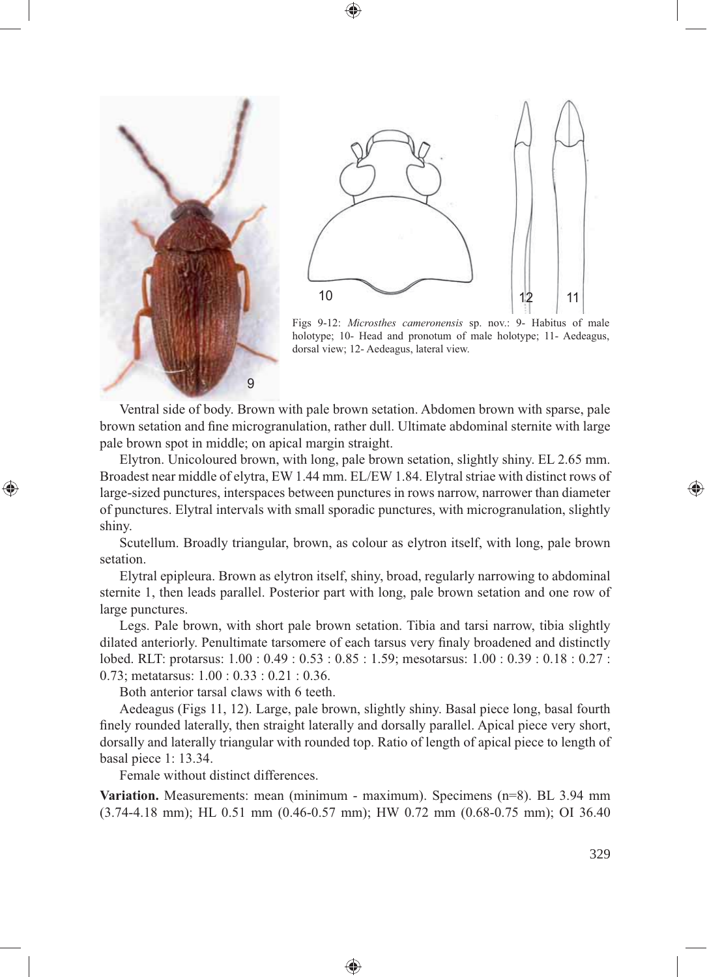



Figs 9-12: *Microsthes cameronensis* sp. nov.: 9- Habitus of male holotype; 10- Head and pronotum of male holotype; 11- Aedeagus, dorsal view; 12- Aedeagus, lateral view.

Ventral side of body. Brown with pale brown setation. Abdomen brown with sparse, pale brown setation and fine microgranulation, rather dull. Ultimate abdominal sternite with large pale brown spot in middle; on apical margin straight.

⊕

Elytron. Unicoloured brown, with long, pale brown setation, slightly shiny. EL 2.65 mm. Broadest near middle of elytra, EW 1.44 mm. EL/EW 1.84. Elytral striae with distinct rows of large-sized punctures, interspaces between punctures in rows narrow, narrower than diameter of punctures. Elytral intervals with small sporadic punctures, with microgranulation, slightly shiny.

Scutellum. Broadly triangular, brown, as colour as elytron itself, with long, pale brown setation.

Elytral epipleura. Brown as elytron itself, shiny, broad, regularly narrowing to abdominal sternite 1, then leads parallel. Posterior part with long, pale brown setation and one row of large punctures.

Legs. Pale brown, with short pale brown setation. Tibia and tarsi narrow, tibia slightly dilated anteriorly. Penultimate tarsomere of each tarsus very finaly broadened and distinctly lobed. RLT: protarsus: 1.00 : 0.49 : 0.53 : 0.85 : 1.59; mesotarsus: 1.00 : 0.39 : 0.18 : 0.27 : 0.73; metatarsus: 1.00 : 0.33 : 0.21 : 0.36.

Both anterior tarsal claws with 6 teeth.

9

Aedeagus (Figs 11, 12). Large, pale brown, slightly shiny. Basal piece long, basal fourth finely rounded laterally, then straight laterally and dorsally parallel. Apical piece very short, dorsally and laterally triangular with rounded top. Ratio of length of apical piece to length of basal piece 1: 13.34.

Female without distinct differences.

**Variation.** Measurements: mean (minimum - maximum). Specimens (n=8). BL 3.94 mm (3.74-4.18 mm); HL 0.51 mm (0.46-0.57 mm); HW 0.72 mm (0.68-0.75 mm); OI 36.40

♠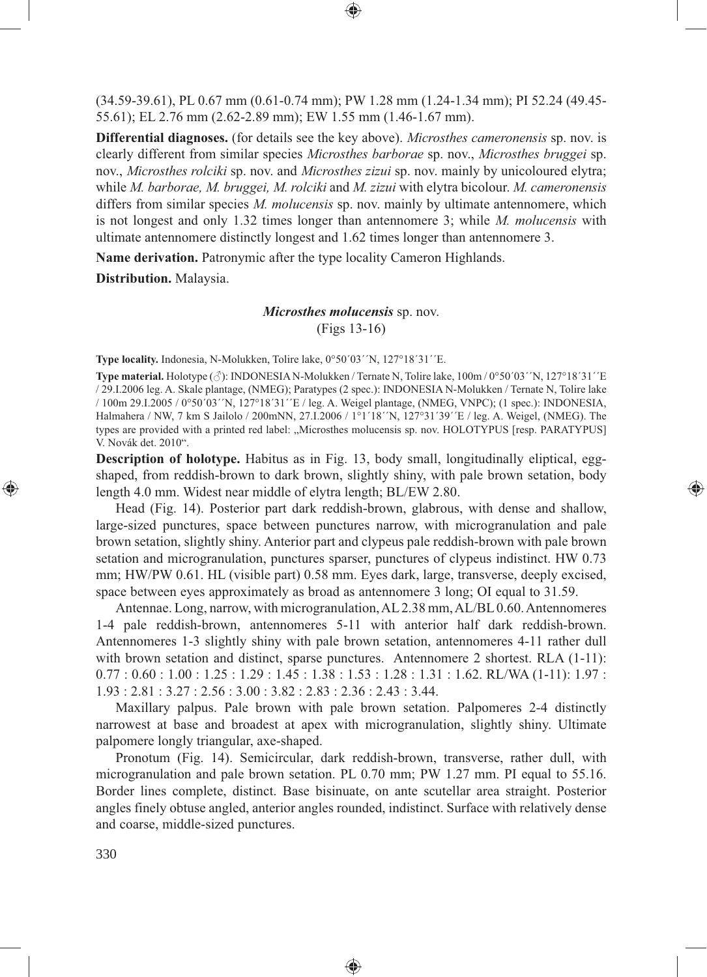(34.59-39.61), PL 0.67 mm (0.61-0.74 mm); PW 1.28 mm (1.24-1.34 mm); PI 52.24 (49.45- 55.61); EL 2.76 mm (2.62-2.89 mm); EW 1.55 mm (1.46-1.67 mm).

⊕

**Differential diagnoses.** (for details see the key above). *Microsthes cameronensis* sp. nov. is clearly different from similar species *Microsthes barborae* sp. nov., *Microsthes bruggei* sp. nov., *Microsthes rolciki* sp. nov. and *Microsthes zizui* sp. nov. mainly by unicoloured elytra; while *M. barborae, M. bruggei, M. rolciki* and *M. zizui* with elytra bicolour. *M. cameronensis*  differs from similar species *M. molucensis* sp. nov. mainly by ultimate antennomere, which is not longest and only 1.32 times longer than antennomere 3; while *M. molucensis* with ultimate antennomere distinctly longest and 1.62 times longer than antennomere 3.

**Name derivation.** Patronymic after the type locality Cameron Highlands.

**Distribution.** Malaysia.

## *Microsthes molucensis* sp. nov. (Figs 13-16)

**Type locality.** Indonesia, N-Molukken, Tolire lake, 0°50´03´´N, 127°18´31´´E.

**Type material.** Holotype  $(\text{A})$ : INDONESIA N-Molukken / Ternate N, Tolire lake,  $100m/0°50'03''N$ ,  $127°18'31''E$ / 29.I.2006 leg. A. Skale plantage, (NMEG); Paratypes (2 spec.): INDONESIA N-Molukken / Ternate N, Tolire lake / 100m 29.I.2005 / 0°50´03´´N, 127°18´31´´E / leg. A. Weigel plantage, (NMEG, VNPC); (1 spec.): INDONESIA, Halmahera / NW, 7 km S Jailolo / 200mNN, 27.I.2006 / 1°1´18´´N, 127°31´39´´E / leg. A. Weigel, (NMEG). The types are provided with a printed red label: "Microsthes molucensis sp. nov. HOLOTYPUS [resp. PARATYPUS] V. Novák det. 2010".

**Description of holotype.** Habitus as in Fig. 13, body small, longitudinally eliptical, eggshaped, from reddish-brown to dark brown, slightly shiny, with pale brown setation, body length 4.0 mm. Widest near middle of elytra length; BL/EW 2.80.

⊕

Head (Fig. 14). Posterior part dark reddish-brown, glabrous, with dense and shallow, large-sized punctures, space between punctures narrow, with microgranulation and pale brown setation, slightly shiny. Anterior part and clypeus pale reddish-brown with pale brown setation and microgranulation, punctures sparser, punctures of clypeus indistinct. HW 0.73 mm; HW/PW 0.61. HL (visible part) 0.58 mm. Eyes dark, large, transverse, deeply excised, space between eyes approximately as broad as antennomere 3 long; OI equal to 31.59.

Antennae. Long, narrow, with microgranulation, AL 2.38 mm, AL/BL 0.60. Antennomeres 1-4 pale reddish-brown, antennomeres 5-11 with anterior half dark reddish-brown. Antennomeres 1-3 slightly shiny with pale brown setation, antennomeres 4-11 rather dull with brown setation and distinct, sparse punctures. Antennomere 2 shortest. RLA  $(1-11)$ :  $0.77: 0.60: 1.00: 1.25: 1.29: 1.45: 1.38: 1.53: 1.28: 1.31: 1.62$ . RL/WA  $(1-11): 1.97:$ 1.93 : 2.81 : 3.27 : 2.56 : 3.00 : 3.82 : 2.83 : 2.36 : 2.43 : 3.44.

Maxillary palpus. Pale brown with pale brown setation. Palpomeres 2-4 distinctly narrowest at base and broadest at apex with microgranulation, slightly shiny. Ultimate palpomere longly triangular, axe-shaped.

Pronotum (Fig. 14). Semicircular, dark reddish-brown, transverse, rather dull, with microgranulation and pale brown setation. PL 0.70 mm; PW 1.27 mm. PI equal to 55.16. Border lines complete, distinct. Base bisinuate, on ante scutellar area straight. Posterior angles finely obtuse angled, anterior angles rounded, indistinct. Surface with relatively dense and coarse, middle-sized punctures.

◈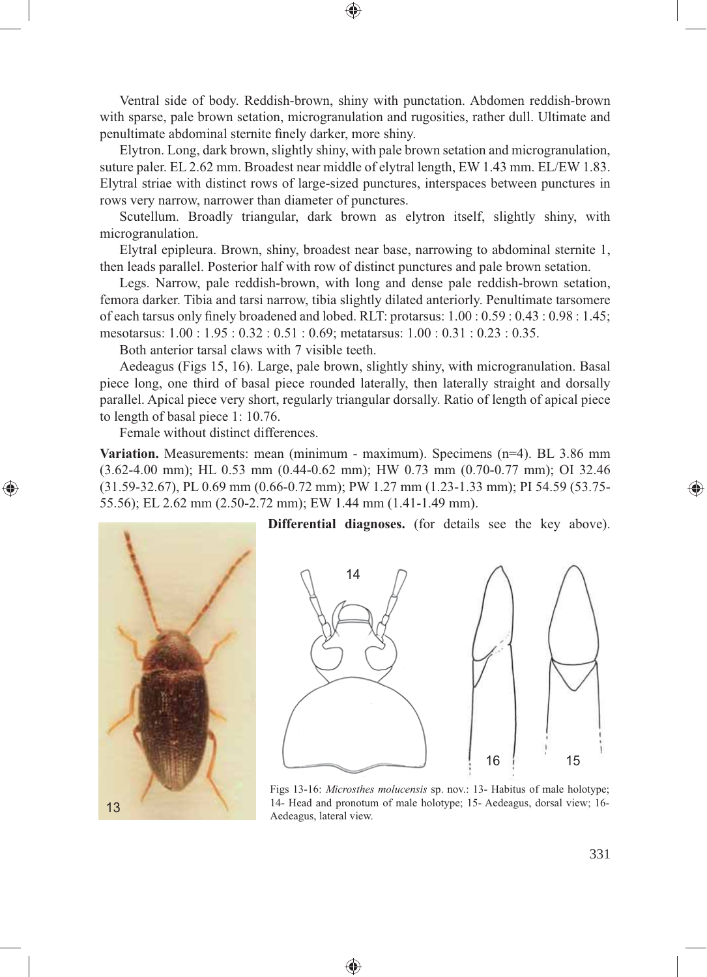Ventral side of body. Reddish-brown, shiny with punctation. Abdomen reddish-brown with sparse, pale brown setation, microgranulation and rugosities, rather dull. Ultimate and penultimate abdominal sternite finely darker, more shiny.

⊕

Elytron. Long, dark brown, slightly shiny, with pale brown setation and microgranulation, suture paler. EL 2.62 mm. Broadest near middle of elytral length, EW 1.43 mm. EL/EW 1.83. Elytral striae with distinct rows of large-sized punctures, interspaces between punctures in rows very narrow, narrower than diameter of punctures.

Scutellum. Broadly triangular, dark brown as elytron itself, slightly shiny, with microgranulation.

Elytral epipleura. Brown, shiny, broadest near base, narrowing to abdominal sternite 1, then leads parallel. Posterior half with row of distinct punctures and pale brown setation.

Legs. Narrow, pale reddish-brown, with long and dense pale reddish-brown setation, femora darker. Tibia and tarsi narrow, tibia slightly dilated anteriorly. Penultimate tarsomere of each tarsus only finely broadened and lobed. RLT: protarsus:  $1.00 : 0.59 : 0.43 : 0.98 : 1.45$ ; mesotarsus: 1.00 : 1.95 : 0.32 : 0.51 : 0.69; metatarsus: 1.00 : 0.31 : 0.23 : 0.35.

Both anterior tarsal claws with 7 visible teeth.

Aedeagus (Figs 15, 16). Large, pale brown, slightly shiny, with microgranulation. Basal piece long, one third of basal piece rounded laterally, then laterally straight and dorsally parallel. Apical piece very short, regularly triangular dorsally. Ratio of length of apical piece to length of basal piece 1: 10.76.

Female without distinct differences.

**Variation.** Measurements: mean (minimum - maximum). Specimens (n=4). BL 3.86 mm (3.62-4.00 mm); HL 0.53 mm (0.44-0.62 mm); HW 0.73 mm (0.70-0.77 mm); OI 32.46 (31.59-32.67), PL 0.69 mm (0.66-0.72 mm); PW 1.27 mm (1.23-1.33 mm); PI 54.59 (53.75- 55.56); EL 2.62 mm (2.50-2.72 mm); EW 1.44 mm (1.41-1.49 mm).

⊕



⊕

**Differential diagnoses.** (for details see the key above).



Figs 13-16: *Microsthes molucensis* sp. nov.: 13- Habitus of male holotype; 14- Head and pronotum of male holotype; 15- Aedeagus, dorsal view; 16- Aedeagus, lateral view.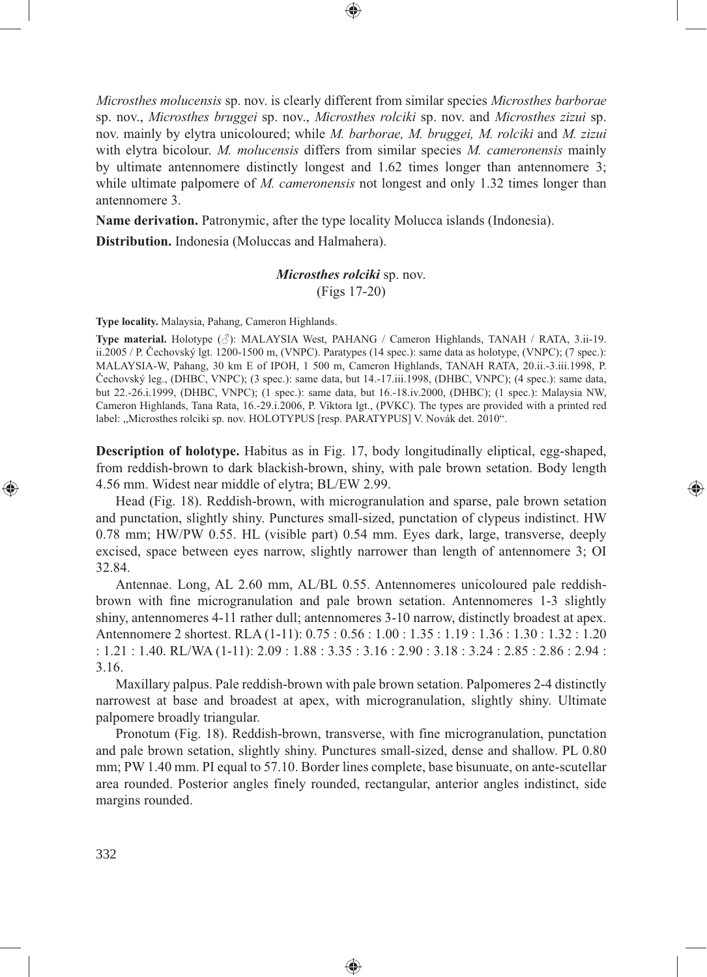*Microsthes molucensis* sp. nov. is clearly different from similar species *Microsthes barborae*  sp. nov., *Microsthes bruggei* sp. nov., *Microsthes rolciki* sp. nov. and *Microsthes zizui* sp. nov. mainly by elytra unicoloured; while *M. barborae, M. bruggei, M. rolciki* and *M. zizui*  with elytra bicolour. *M. molucensis* differs from similar species *M. cameronensis* mainly by ultimate antennomere distinctly longest and 1.62 times longer than antennomere 3; while ultimate palpomere of *M. cameronensis* not longest and only 1.32 times longer than antennomere 3.

**Name derivation.** Patronymic, after the type locality Molucca islands (Indonesia).

**Distribution.** Indonesia (Moluccas and Halmahera).

*Microsthes rolciki* sp. nov. (Figs 17-20)

**Type locality.** Malaysia, Pahang, Cameron Highlands.

**Type material.** Holotype (♂): MALAYSIA West, PAHANG / Cameron Highlands, TANAH / RATA, 3.ii-19. ii.2005 / P. Čechovský lgt. 1200-1500 m, (VNPC). Paratypes (14 spec.): same data as holotype, (VNPC); (7 spec.): MALAYSIA-W, Pahang, 30 km E of IPOH, 1 500 m, Cameron Highlands, TANAH RATA, 20.ii.-3.iii.1998, P. Čechovský leg., (DHBC, VNPC); (3 spec.): same data, but 14.-17.iii.1998, (DHBC, VNPC); (4 spec.): same data, but 22.-26.i.1999, (DHBC, VNPC); (1 spec.): same data, but 16.-18.iv.2000, (DHBC); (1 spec.): Malaysia NW, Cameron Highlands, Tana Rata, 16.-29.i.2006, P. Viktora lgt., (PVKC). The types are provided with a printed red label: "Microsthes rolciki sp. nov. HOLOTYPUS [resp. PARATYPUS] V. Novák det. 2010".

**Description of holotype.** Habitus as in Fig. 17, body longitudinally eliptical, egg-shaped, from reddish-brown to dark blackish-brown, shiny, with pale brown setation. Body length 4.56 mm. Widest near middle of elytra; BL/EW 2.99.

⊕

Head (Fig. 18). Reddish-brown, with microgranulation and sparse, pale brown setation and punctation, slightly shiny. Punctures small-sized, punctation of clypeus indistinct. HW 0.78 mm; HW/PW 0.55. HL (visible part) 0.54 mm. Eyes dark, large, transverse, deeply excised, space between eyes narrow, slightly narrower than length of antennomere 3; OI 32.84.

Antennae. Long, AL 2.60 mm, AL/BL 0.55. Antennomeres unicoloured pale reddishbrown with fine microgranulation and pale brown setation. Antennomeres 1-3 slightly shiny, antennomeres 4-11 rather dull; antennomeres 3-10 narrow, distinctly broadest at apex. Antennomere 2 shortest. RLA (1-11): 0.75 : 0.56 : 1.00 : 1.35 : 1.19 : 1.36 : 1.30 : 1.32 : 1.20 : 1.21 : 1.40. RL/WA (1-11): 2.09 : 1.88 : 3.35 : 3.16 : 2.90 : 3.18 : 3.24 : 2.85 : 2.86 : 2.94 : 3.16.

Maxillary palpus. Pale reddish-brown with pale brown setation. Palpomeres 2-4 distinctly narrowest at base and broadest at apex, with microgranulation, slightly shiny. Ultimate palpomere broadly triangular.

Pronotum (Fig. 18). Reddish-brown, transverse, with fine microgranulation, punctation and pale brown setation, slightly shiny. Punctures small-sized, dense and shallow. PL 0.80 mm; PW 1.40 mm. PI equal to 57.10. Border lines complete, base bisunuate, on ante-scutellar area rounded. Posterior angles finely rounded, rectangular, anterior angles indistinct, side margins rounded.

⊕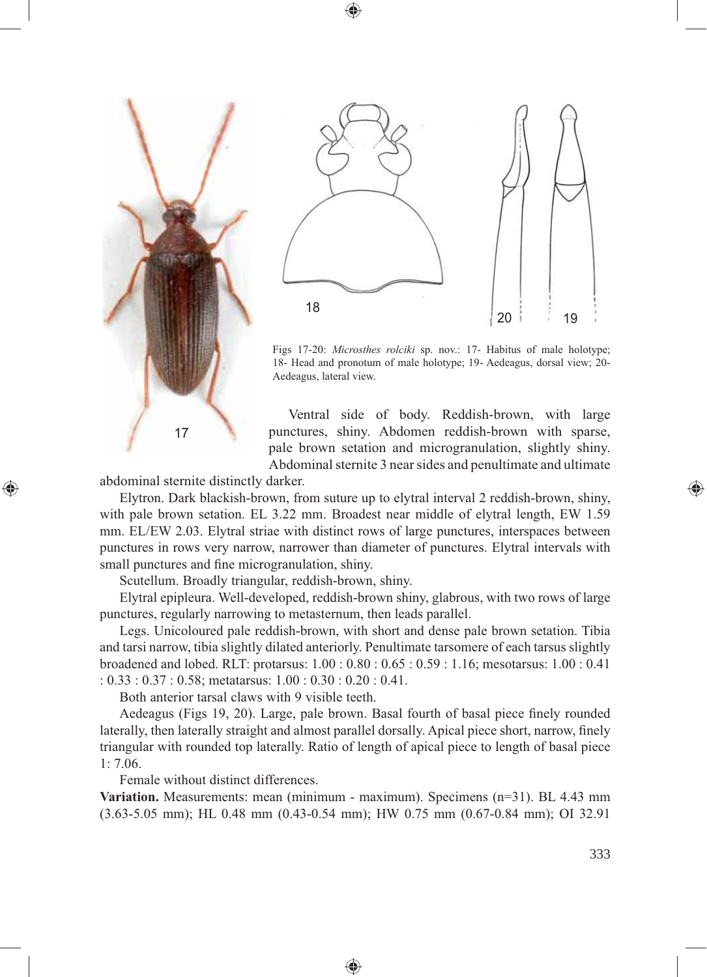



Figs 17-20: *Microsthes rolciki* sp. nov.: 17- Habitus of male holotype; 18- Head and pronotum of male holotype; 19- Aedeagus, dorsal view; 20- Aedeagus, lateral view.

Ventral side of body. Reddish-brown, with large punctures, shiny. Abdomen reddish-brown with sparse, pale brown setation and microgranulation, slightly shiny. Abdominal sternite 3 near sides and penultimate and ultimate

abdominal sternite distinctly darker.

⊕

Elytron. Dark blackish-brown, from suture up to elytral interval 2 reddish-brown, shiny, with pale brown setation. EL 3.22 mm. Broadest near middle of elytral length, EW 1.59 mm. EL/EW 2.03. Elytral striae with distinct rows of large punctures, interspaces between punctures in rows very narrow, narrower than diameter of punctures. Elytral intervals with small punctures and fine microgranulation, shiny.

Scutellum. Broadly triangular, reddish-brown, shiny.

Elytral epipleura. Well-developed, reddish-brown shiny, glabrous, with two rows of large punctures, regularly narrowing to metasternum, then leads parallel.

Legs. Unicoloured pale reddish-brown, with short and dense pale brown setation. Tibia and tarsi narrow, tibia slightly dilated anteriorly. Penultimate tarsomere of each tarsus slightly broadened and lobed. RLT: protarsus: 1.00 : 0.80 : 0.65 : 0.59 : 1.16; mesotarsus: 1.00 : 0.41 : 0.33 : 0.37 : 0.58; metatarsus: 1.00 : 0.30 : 0.20 : 0.41.

Both anterior tarsal claws with 9 visible teeth.

Aedeagus (Figs 19, 20). Large, pale brown. Basal fourth of basal piece finely rounded laterally, then laterally straight and almost parallel dorsally. Apical piece short, narrow, finely triangular with rounded top laterally. Ratio of length of apical piece to length of basal piece 1: 7.06.

Female without distinct differences.

**Variation.** Measurements: mean (minimum - maximum). Specimens (n=31). BL 4.43 mm (3.63-5.05 mm); HL 0.48 mm (0.43-0.54 mm); HW 0.75 mm (0.67-0.84 mm); OI 32.91

⊕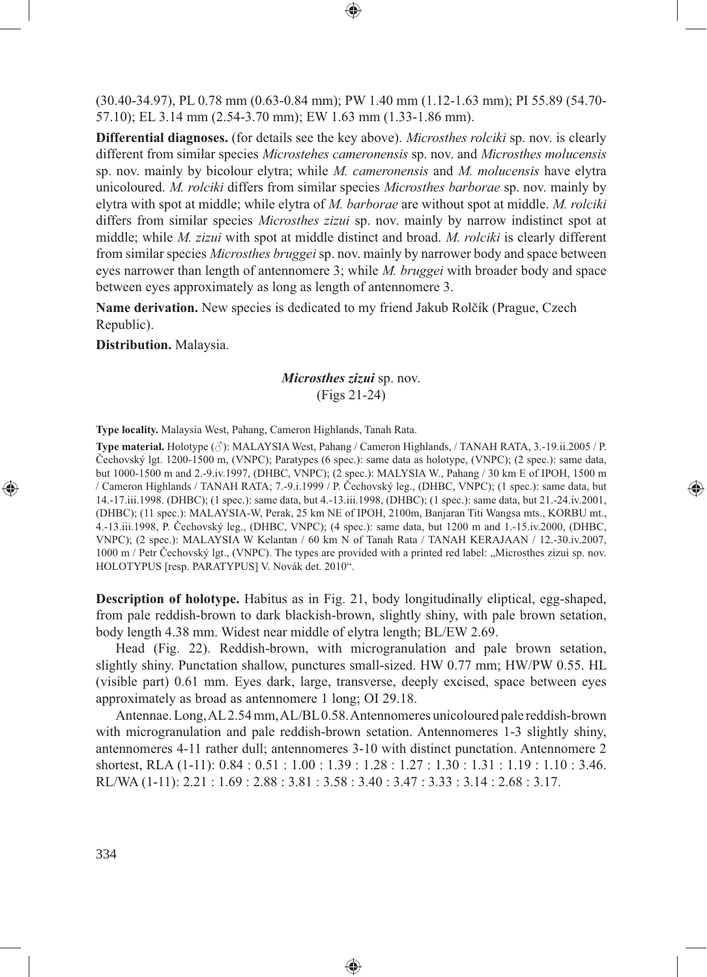(30.40-34.97), PL 0.78 mm (0.63-0.84 mm); PW 1.40 mm (1.12-1.63 mm); PI 55.89 (54.70- 57.10); EL 3.14 mm (2.54-3.70 mm); EW 1.63 mm (1.33-1.86 mm).

**Differential diagnoses.** (for details see the key above). *Microsthes rolciki* sp. nov. is clearly different from similar species *Microstehes cameronensis* sp. nov. and *Microsthes molucensis*  sp. nov. mainly by bicolour elytra; while *M. cameronensis* and *M. molucensis* have elytra unicoloured. *M. rolciki* differs from similar species *Microsthes barborae* sp. nov. mainly by elytra with spot at middle; while elytra of *M. barborae* are without spot at middle. *M. rolciki*  differs from similar species *Microsthes zizui* sp. nov. mainly by narrow indistinct spot at middle; while *M. zizui* with spot at middle distinct and broad. *M. rolciki* is clearly different from similar species *Microsthes bruggei* sp. nov. mainly by narrower body and space between eyes narrower than length of antennomere 3; while *M. bruggei* with broader body and space between eyes approximately as long as length of antennomere 3.

**Name derivation.** New species is dedicated to my friend Jakub Rolčík (Prague, Czech Republic).

**Distribution.** Malaysia.

# *Microsthes zizui* sp. nov. (Figs 21-24)

**Type locality.** Malaysia West, Pahang, Cameron Highlands, Tanah Rata.

**Type material.** Holotype (♂): MALAYSIA West, Pahang / Cameron Highlands, / TANAH RATA, 3.-19.ii.2005 / P. Čechovský lgt. 1200-1500 m, (VNPC); Paratypes (6 spec.): same data as holotype, (VNPC); (2 spec.): same data, but 1000-1500 m and 2.-9.iv.1997, (DHBC, VNPC); (2 spec.): MALYSIA W., Pahang / 30 km E of IPOH, 1500 m / Cameron Highlands / TANAH RATA; 7.-9.i.1999 / P. Čechovský leg., (DHBC, VNPC); (1 spec.): same data, but 14.-17.iii.1998. (DHBC); (1 spec.): same data, but 4.-13.iii.1998, (DHBC); (1 spec.): same data, but 21.-24.iv.2001, (DHBC); (11 spec.): MALAYSIA-W, Perak, 25 km NE of IPOH, 2100m, Banjaran Titi Wangsa mts., KORBU mt., 4.-13.iii.1998, P. Čechovský leg., (DHBC, VNPC); (4 spec.): same data, but 1200 m and 1.-15.iv.2000, (DHBC, VNPC); (2 spec.): MALAYSIA W Kelantan / 60 km N of Tanah Rata / TANAH KERAJAAN / 12.-30.iv.2007, 1000 m / Petr Čechovský lgt., (VNPC). The types are provided with a printed red label: "Microsthes zizui sp. nov. HOLOTYPUS [resp. PARATYPUS] V. Novák det. 2010".

⊕

**Description of holotype.** Habitus as in Fig. 21, body longitudinally eliptical, egg-shaped, from pale reddish-brown to dark blackish-brown, slightly shiny, with pale brown setation, body length 4.38 mm. Widest near middle of elytra length; BL/EW 2.69.

Head (Fig. 22). Reddish-brown, with microgranulation and pale brown setation, slightly shiny. Punctation shallow, punctures small-sized. HW 0.77 mm; HW/PW 0.55. HL (visible part) 0.61 mm. Eyes dark, large, transverse, deeply excised, space between eyes approximately as broad as antennomere 1 long; OI 29.18.

Antennae. Long, AL 2.54 mm, AL/BL 0.58. Antennomeres unicoloured pale reddish-brown with microgranulation and pale reddish-brown setation. Antennomeres 1-3 slightly shiny, antennomeres 4-11 rather dull; antennomeres 3-10 with distinct punctation. Antennomere 2 shortest, RLA (1-11): 0.84 : 0.51 : 1.00 : 1.39 : 1.28 : 1.27 : 1.30 : 1.31 : 1.19 : 1.10 : 3.46. RL/WA (1-11): 2.21 : 1.69 : 2.88 : 3.81 : 3.58 : 3.40 : 3.47 : 3.33 : 3.14 : 2.68 : 3.17.

⊕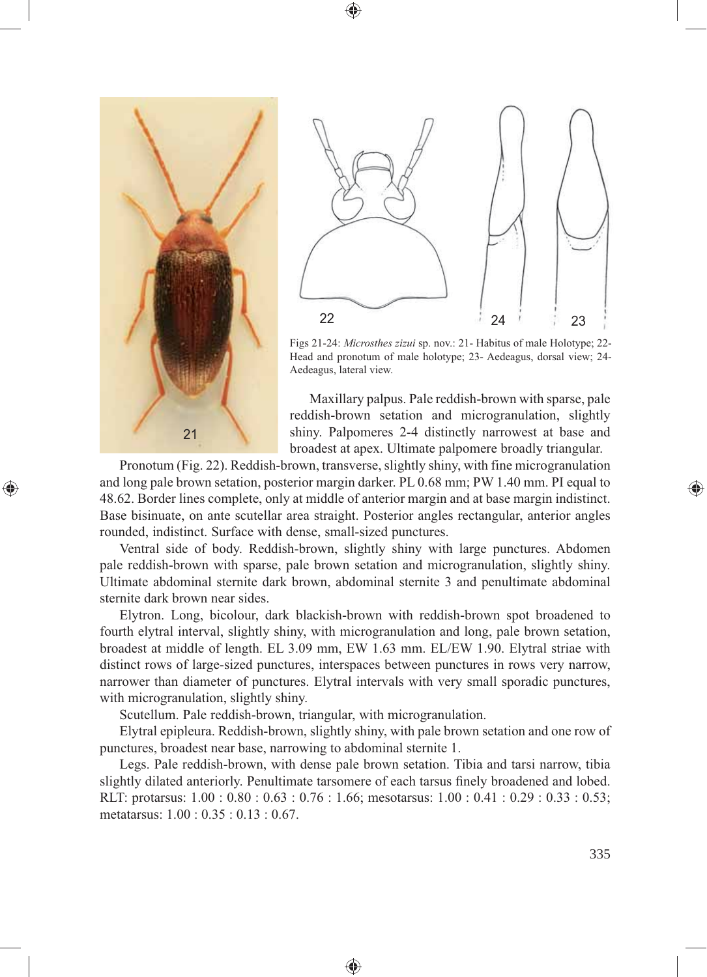

⊕



Figs 21-24: *Microsthes zizui* sp. nov.: 21- Habitus of male Holotype; 22- Head and pronotum of male holotype; 23- Aedeagus, dorsal view; 24- Aedeagus, lateral view.

Maxillary palpus. Pale reddish-brown with sparse, pale reddish-brown setation and microgranulation, slightly shiny. Palpomeres 2-4 distinctly narrowest at base and broadest at apex. Ultimate palpomere broadly triangular.

Pronotum (Fig. 22). Reddish-brown, transverse, slightly shiny, with fine microgranulation and long pale brown setation, posterior margin darker. PL 0.68 mm; PW 1.40 mm. PI equal to 48.62. Border lines complete, only at middle of anterior margin and at base margin indistinct. Base bisinuate, on ante scutellar area straight. Posterior angles rectangular, anterior angles rounded, indistinct. Surface with dense, small-sized punctures.

Ventral side of body. Reddish-brown, slightly shiny with large punctures. Abdomen pale reddish-brown with sparse, pale brown setation and microgranulation, slightly shiny. Ultimate abdominal sternite dark brown, abdominal sternite 3 and penultimate abdominal sternite dark brown near sides.

Elytron. Long, bicolour, dark blackish-brown with reddish-brown spot broadened to fourth elytral interval, slightly shiny, with microgranulation and long, pale brown setation, broadest at middle of length. EL 3.09 mm, EW 1.63 mm. EL/EW 1.90. Elytral striae with distinct rows of large-sized punctures, interspaces between punctures in rows very narrow, narrower than diameter of punctures. Elytral intervals with very small sporadic punctures, with microgranulation, slightly shiny.

Scutellum. Pale reddish-brown, triangular, with microgranulation.

Elytral epipleura. Reddish-brown, slightly shiny, with pale brown setation and one row of punctures, broadest near base, narrowing to abdominal sternite 1.

Legs. Pale reddish-brown, with dense pale brown setation. Tibia and tarsi narrow, tibia slightly dilated anteriorly. Penultimate tarsomere of each tarsus finely broadened and lobed. RLT: protarsus: 1.00 : 0.80 : 0.63 : 0.76 : 1.66; mesotarsus: 1.00 : 0.41 : 0.29 : 0.33 : 0.53; metatarsus: 1.00 : 0.35 : 0.13 : 0.67.

♠